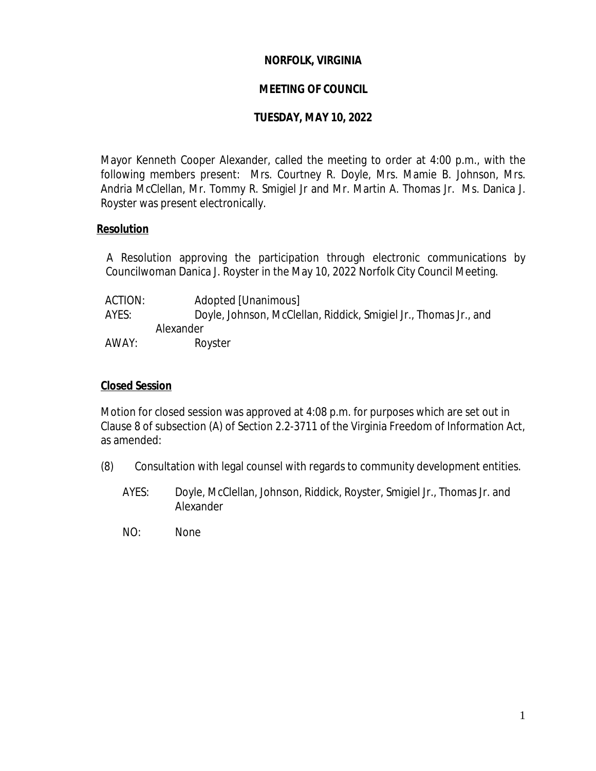### **NORFOLK, VIRGINIA**

### **MEETING OF COUNCIL**

### **TUESDAY, MAY 10, 2022**

Mayor Kenneth Cooper Alexander, called the meeting to order at 4:00 p.m., with the following members present: Mrs. Courtney R. Doyle, Mrs. Mamie B. Johnson, Mrs. Andria McClellan, Mr. Tommy R. Smigiel Jr and Mr. Martin A. Thomas Jr. Ms. Danica J. Royster was present electronically.

#### **Resolution**

A Resolution approving the participation through electronic communications by Councilwoman Danica J. Royster in the May 10, 2022 Norfolk City Council Meeting.

| ACTION: | Adopted [Unanimous] |                                                                  |
|---------|---------------------|------------------------------------------------------------------|
| AYES:   |                     | Doyle, Johnson, McClellan, Riddick, Smigiel Jr., Thomas Jr., and |
|         | Alexander           |                                                                  |
| AWAY:   | Royster             |                                                                  |

#### **Closed Session**

Motion for closed session was approved at 4:08 p.m. for purposes which are set out in Clause 8 of subsection (A) of Section 2.2-3711 of the Virginia Freedom of Information Act, as amended:

- (8) Consultation with legal counsel with regards to community development entities.
	- AYES: Doyle, McClellan, Johnson, Riddick, Royster, Smigiel Jr., Thomas Jr. and Alexander
	- NO: None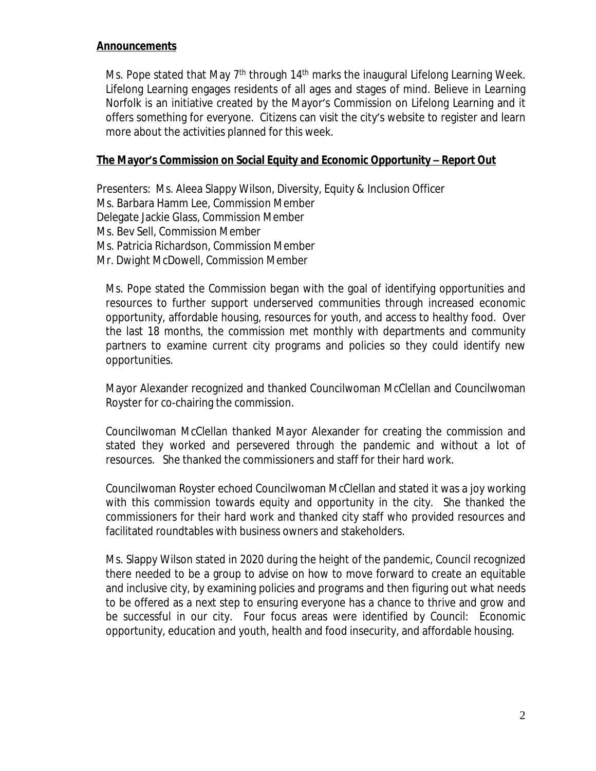### **Announcements**

Ms. Pope stated that May 7<sup>th</sup> through 14<sup>th</sup> marks the inaugural Lifelong Learning Week. Lifelong Learning engages residents of all ages and stages of mind. Believe in Learning Norfolk is an initiative created by the Mayor's Commission on Lifelong Learning and it offers something for everyone. Citizens can visit the city's website to register and learn more about the activities planned for this week.

### **The Mayor's Commission on Social Equity and Economic Opportunity – Report Out**

Presenters: Ms. Aleea Slappy Wilson, Diversity, Equity & Inclusion Officer Ms. Barbara Hamm Lee, Commission Member Delegate Jackie Glass, Commission Member Ms. Bev Sell, Commission Member Ms. Patricia Richardson, Commission Member Mr. Dwight McDowell, Commission Member

Ms. Pope stated the Commission began with the goal of identifying opportunities and resources to further support underserved communities through increased economic opportunity, affordable housing, resources for youth, and access to healthy food. Over the last 18 months, the commission met monthly with departments and community partners to examine current city programs and policies so they could identify new opportunities.

Mayor Alexander recognized and thanked Councilwoman McClellan and Councilwoman Royster for co-chairing the commission.

Councilwoman McClellan thanked Mayor Alexander for creating the commission and stated they worked and persevered through the pandemic and without a lot of resources. She thanked the commissioners and staff for their hard work.

Councilwoman Royster echoed Councilwoman McClellan and stated it was a joy working with this commission towards equity and opportunity in the city. She thanked the commissioners for their hard work and thanked city staff who provided resources and facilitated roundtables with business owners and stakeholders.

Ms. Slappy Wilson stated in 2020 during the height of the pandemic, Council recognized there needed to be a group to advise on how to move forward to create an equitable and inclusive city, by examining policies and programs and then figuring out what needs to be offered as a next step to ensuring everyone has a chance to thrive and grow and be successful in our city. Four focus areas were identified by Council: Economic opportunity, education and youth, health and food insecurity, and affordable housing.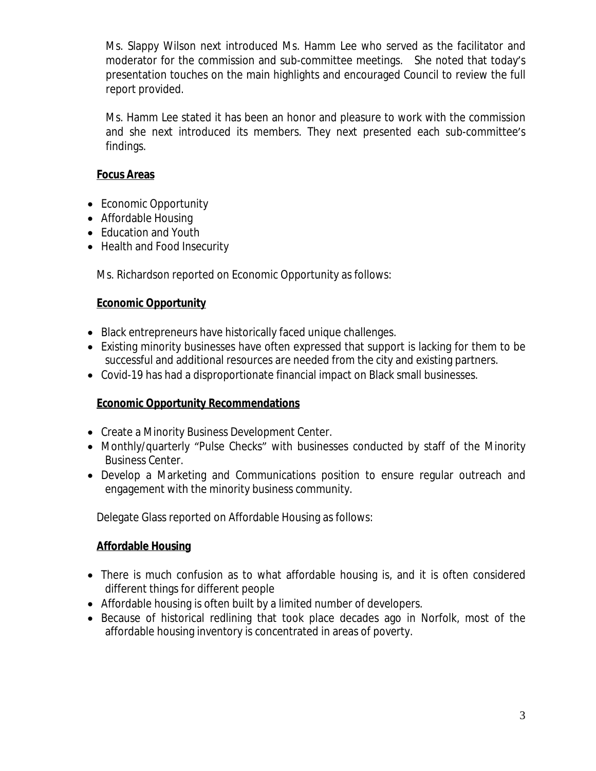Ms. Slappy Wilson next introduced Ms. Hamm Lee who served as the facilitator and moderator for the commission and sub-committee meetings. She noted that today's presentation touches on the main highlights and encouraged Council to review the full report provided.

Ms. Hamm Lee stated it has been an honor and pleasure to work with the commission and she next introduced its members. They next presented each sub-committee's findings.

## **Focus Areas**

- Economic Opportunity
- Affordable Housing
- Education and Youth
- Health and Food Insecurity

Ms. Richardson reported on Economic Opportunity as follows:

# **Economic Opportunity**

- Black entrepreneurs have historically faced unique challenges.
- Existing minority businesses have often expressed that support is lacking for them to be successful and additional resources are needed from the city and existing partners.
- Covid-19 has had a disproportionate financial impact on Black small businesses.

### **Economic Opportunity Recommendations**

- Create a Minority Business Development Center.
- Monthly/quarterly "Pulse Checks" with businesses conducted by staff of the Minority Business Center.
- Develop a Marketing and Communications position to ensure regular outreach and engagement with the minority business community.

Delegate Glass reported on Affordable Housing as follows:

### **Affordable Housing**

- There is much confusion as to what affordable housing is, and it is often considered different things for different people
- Affordable housing is often built by a limited number of developers.
- Because of historical redlining that took place decades ago in Norfolk, most of the affordable housing inventory is concentrated in areas of poverty.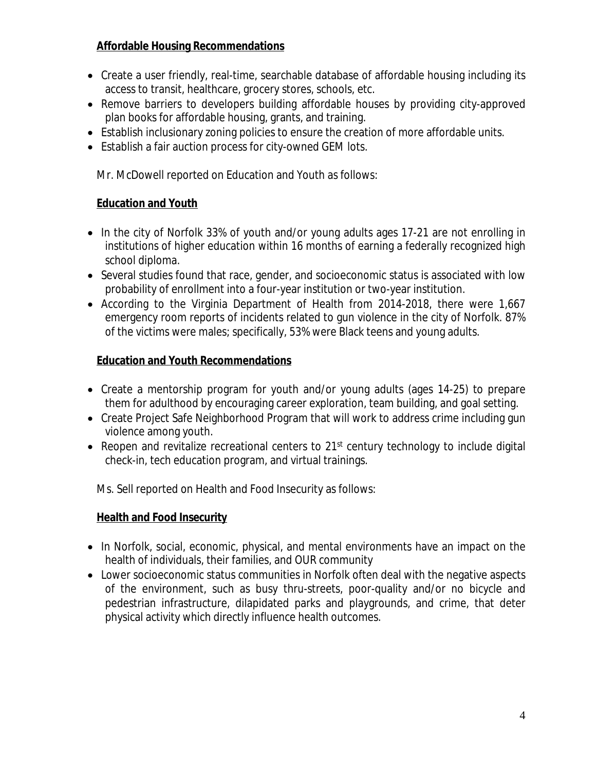# **Affordable Housing Recommendations**

- Create a user friendly, real-time, searchable database of affordable housing including its access to transit, healthcare, grocery stores, schools, etc.
- Remove barriers to developers building affordable houses by providing city-approved plan books for affordable housing, grants, and training.
- Establish inclusionary zoning policies to ensure the creation of more affordable units.
- Establish a fair auction process for city-owned GEM lots.

Mr. McDowell reported on Education and Youth as follows:

## **Education and Youth**

- In the city of Norfolk 33% of youth and/or young adults ages 17-21 are not enrolling in institutions of higher education within 16 months of earning a federally recognized high school diploma.
- Several studies found that race, gender, and socioeconomic status is associated with low probability of enrollment into a four-year institution or two-year institution.
- According to the Virginia Department of Health from 2014-2018, there were 1,667 emergency room reports of incidents related to gun violence in the city of Norfolk. 87% of the victims were males; specifically, 53% were Black teens and young adults.

## **Education and Youth Recommendations**

- Create a mentorship program for youth and/or young adults (ages 14-25) to prepare them for adulthood by encouraging career exploration, team building, and goal setting.
- Create Project Safe Neighborhood Program that will work to address crime including gun violence among youth.
- Reopen and revitalize recreational centers to 21<sup>st</sup> century technology to include digital check-in, tech education program, and virtual trainings.

Ms. Sell reported on Health and Food Insecurity as follows:

# **Health and Food Insecurity**

- In Norfolk, social, economic, physical, and mental environments have an impact on the health of individuals, their families, and OUR community
- Lower socioeconomic status communities in Norfolk often deal with the negative aspects of the environment, such as busy thru-streets, poor-quality and/or no bicycle and pedestrian infrastructure, dilapidated parks and playgrounds, and crime, that deter physical activity which directly influence health outcomes.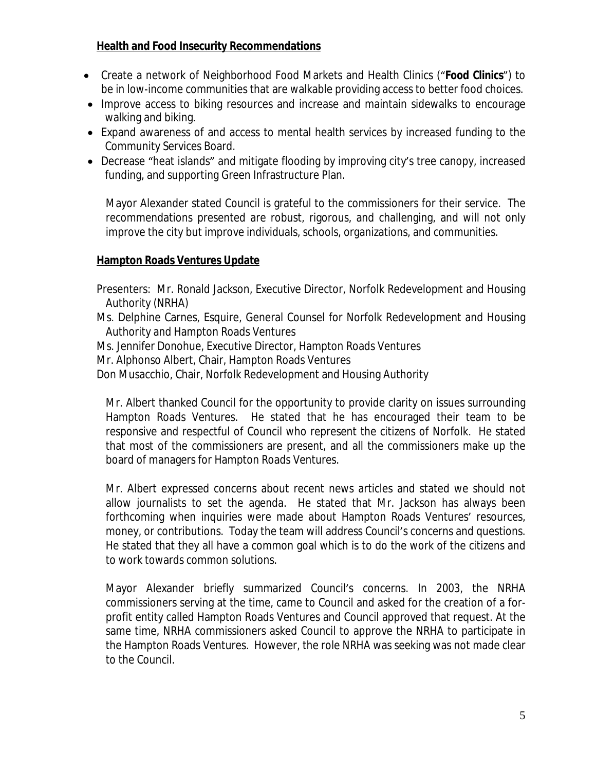## **Health and Food Insecurity Recommendations**

- Create a network of Neighborhood Food Markets and Health Clinics ("*Food Clinics*") to be in low-income communities that are walkable providing access to better food choices.
- Improve access to biking resources and increase and maintain sidewalks to encourage walking and biking.
- Expand awareness of and access to mental health services by increased funding to the Community Services Board.
- Decrease "heat islands" and mitigate flooding by improving city's tree canopy, increased funding, and supporting Green Infrastructure Plan.

Mayor Alexander stated Council is grateful to the commissioners for their service. The recommendations presented are robust, rigorous, and challenging, and will not only improve the city but improve individuals, schools, organizations, and communities.

### **Hampton Roads Ventures Update**

- Presenters: Mr. Ronald Jackson, Executive Director, Norfolk Redevelopment and Housing Authority (NRHA)
- Ms. Delphine Carnes, Esquire, General Counsel for Norfolk Redevelopment and Housing Authority and Hampton Roads Ventures
- Ms. Jennifer Donohue, Executive Director, Hampton Roads Ventures
- Mr. Alphonso Albert, Chair, Hampton Roads Ventures
- Don Musacchio, Chair, Norfolk Redevelopment and Housing Authority

Mr. Albert thanked Council for the opportunity to provide clarity on issues surrounding Hampton Roads Ventures. He stated that he has encouraged their team to be responsive and respectful of Council who represent the citizens of Norfolk. He stated that most of the commissioners are present, and all the commissioners make up the board of managers for Hampton Roads Ventures.

Mr. Albert expressed concerns about recent news articles and stated we should not allow journalists to set the agenda. He stated that Mr. Jackson has always been forthcoming when inquiries were made about Hampton Roads Ventures' resources, money, or contributions. Today the team will address Council's concerns and questions. He stated that they all have a common goal which is to do the work of the citizens and to work towards common solutions.

Mayor Alexander briefly summarized Council's concerns. In 2003, the NRHA commissioners serving at the time, came to Council and asked for the creation of a forprofit entity called Hampton Roads Ventures and Council approved that request. At the same time, NRHA commissioners asked Council to approve the NRHA to participate in the Hampton Roads Ventures. However, the role NRHA was seeking was not made clear to the Council.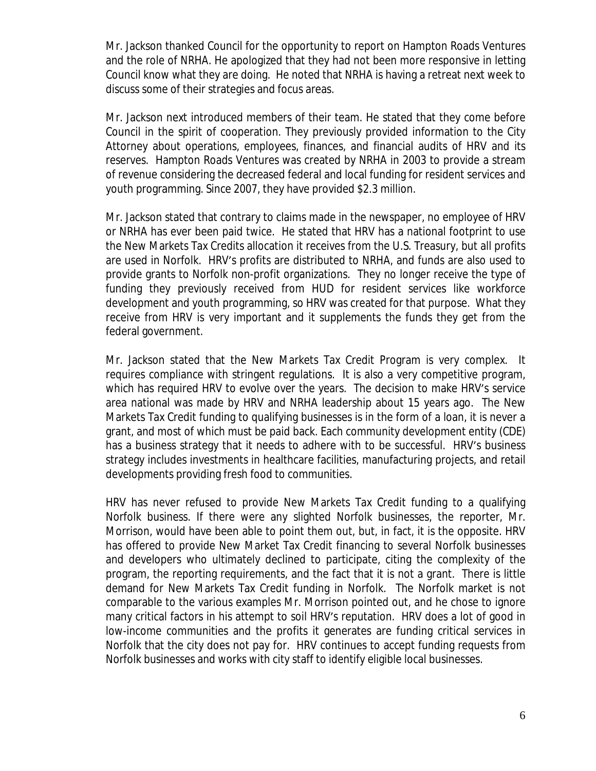Mr. Jackson thanked Council for the opportunity to report on Hampton Roads Ventures and the role of NRHA. He apologized that they had not been more responsive in letting Council know what they are doing. He noted that NRHA is having a retreat next week to discuss some of their strategies and focus areas.

Mr. Jackson next introduced members of their team. He stated that they come before Council in the spirit of cooperation. They previously provided information to the City Attorney about operations, employees, finances, and financial audits of HRV and its reserves. Hampton Roads Ventures was created by NRHA in 2003 to provide a stream of revenue considering the decreased federal and local funding for resident services and youth programming. Since 2007, they have provided \$2.3 million.

Mr. Jackson stated that contrary to claims made in the newspaper, no employee of HRV or NRHA has ever been paid twice. He stated that HRV has a national footprint to use the New Markets Tax Credits allocation it receives from the U.S. Treasury, but all profits are used in Norfolk. HRV's profits are distributed to NRHA, and funds are also used to provide grants to Norfolk non-profit organizations. They no longer receive the type of funding they previously received from HUD for resident services like workforce development and youth programming, so HRV was created for that purpose. What they receive from HRV is very important and it supplements the funds they get from the federal government.

Mr. Jackson stated that the New Markets Tax Credit Program is very complex. It requires compliance with stringent regulations. It is also a very competitive program, which has required HRV to evolve over the years. The decision to make HRV's service area national was made by HRV and NRHA leadership about 15 years ago. The New Markets Tax Credit funding to qualifying businesses is in the form of a loan, it is never a grant, and most of which must be paid back. Each community development entity (CDE) has a business strategy that it needs to adhere with to be successful. HRV's business strategy includes investments in healthcare facilities, manufacturing projects, and retail developments providing fresh food to communities.

HRV has never refused to provide New Markets Tax Credit funding to a qualifying Norfolk business. If there were any slighted Norfolk businesses, the reporter, Mr. Morrison, would have been able to point them out, but, in fact, it is the opposite. HRV has offered to provide New Market Tax Credit financing to several Norfolk businesses and developers who ultimately declined to participate, citing the complexity of the program, the reporting requirements, and the fact that it is not a grant. There is little demand for New Markets Tax Credit funding in Norfolk. The Norfolk market is not comparable to the various examples Mr. Morrison pointed out, and he chose to ignore many critical factors in his attempt to soil HRV's reputation. HRV does a lot of good in low-income communities and the profits it generates are funding critical services in Norfolk that the city does not pay for. HRV continues to accept funding requests from Norfolk businesses and works with city staff to identify eligible local businesses.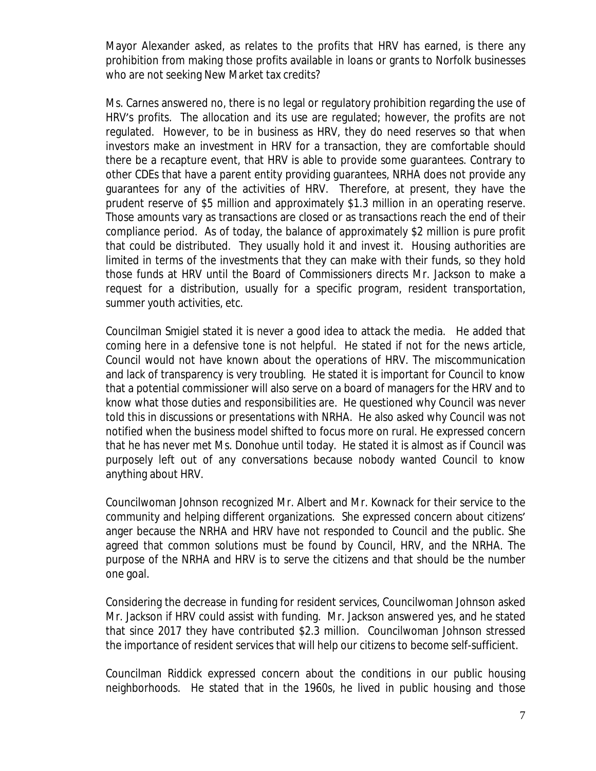Mayor Alexander asked, as relates to the profits that HRV has earned, is there any prohibition from making those profits available in loans or grants to Norfolk businesses who are not seeking New Market tax credits?

Ms. Carnes answered no, there is no legal or regulatory prohibition regarding the use of HRV's profits. The allocation and its use are regulated; however, the profits are not regulated. However, to be in business as HRV, they do need reserves so that when investors make an investment in HRV for a transaction, they are comfortable should there be a recapture event, that HRV is able to provide some guarantees. Contrary to other CDEs that have a parent entity providing guarantees, NRHA does not provide any guarantees for any of the activities of HRV. Therefore, at present, they have the prudent reserve of \$5 million and approximately \$1.3 million in an operating reserve. Those amounts vary as transactions are closed or as transactions reach the end of their compliance period. As of today, the balance of approximately \$2 million is pure profit that could be distributed. They usually hold it and invest it. Housing authorities are limited in terms of the investments that they can make with their funds, so they hold those funds at HRV until the Board of Commissioners directs Mr. Jackson to make a request for a distribution, usually for a specific program, resident transportation, summer youth activities, etc.

Councilman Smigiel stated it is never a good idea to attack the media. He added that coming here in a defensive tone is not helpful. He stated if not for the news article, Council would not have known about the operations of HRV. The miscommunication and lack of transparency is very troubling. He stated it is important for Council to know that a potential commissioner will also serve on a board of managers for the HRV and to know what those duties and responsibilities are. He questioned why Council was never told this in discussions or presentations with NRHA. He also asked why Council was not notified when the business model shifted to focus more on rural. He expressed concern that he has never met Ms. Donohue until today. He stated it is almost as if Council was purposely left out of any conversations because nobody wanted Council to know anything about HRV.

Councilwoman Johnson recognized Mr. Albert and Mr. Kownack for their service to the community and helping different organizations. She expressed concern about citizens' anger because the NRHA and HRV have not responded to Council and the public. She agreed that common solutions must be found by Council, HRV, and the NRHA. The purpose of the NRHA and HRV is to serve the citizens and that should be the number one goal.

Considering the decrease in funding for resident services, Councilwoman Johnson asked Mr. Jackson if HRV could assist with funding. Mr. Jackson answered yes, and he stated that since 2017 they have contributed \$2.3 million. Councilwoman Johnson stressed the importance of resident services that will help our citizens to become self-sufficient.

Councilman Riddick expressed concern about the conditions in our public housing neighborhoods. He stated that in the 1960s, he lived in public housing and those